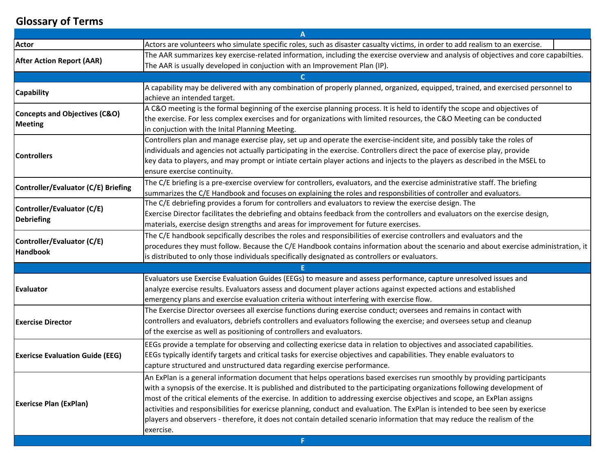## **Glossary of Terms**

|                                                 | A                                                                                                                                     |  |
|-------------------------------------------------|---------------------------------------------------------------------------------------------------------------------------------------|--|
| <b>Actor</b>                                    | Actors are volunteers who simulate specific roles, such as disaster casualty victims, in order to add realism to an exercise.         |  |
| <b>After Action Report (AAR)</b>                | The AAR summarizes key exercise-related information, including the exercise overview and analysis of objectives and core capabilties. |  |
|                                                 | The AAR is usually developed in conjuction with an Improvement Plan (IP).                                                             |  |
|                                                 |                                                                                                                                       |  |
| <b>Capability</b>                               | A capability may be delivered with any combination of properly planned, organized, equipped, trained, and exercised personnel to      |  |
|                                                 | achieve an intended target.                                                                                                           |  |
| Concepts and Objectives (C&O)<br><b>Meeting</b> | A C&O meeting is the formal beginning of the exercise planning process. It is held to identify the scope and objectives of            |  |
|                                                 | the exercise. For less complex exercises and for organizations with limited resources, the C&O Meeting can be conducted               |  |
|                                                 | in conjuction with the Inital Planning Meeting.                                                                                       |  |
| <b>Controllers</b>                              | Controllers plan and manage exercise play, set up and operate the exercise-incident site, and possibly take the roles of              |  |
|                                                 | individuals and agencies not actually participating in the exercise. Controllers direct the pace of exercise play, provide            |  |
|                                                 | key data to players, and may prompt or intiate certain player actions and injects to the players as described in the MSEL to          |  |
|                                                 | ensure exercise continuity.                                                                                                           |  |
| Controller/Evaluator (C/E) Briefing             | The C/E briefing is a pre-exercise overview for controllers, evaluators, and the exercise administrative staff. The briefing          |  |
|                                                 | summarizes the C/E Handbook and focuses on explaining the roles and responsbilities of controller and evaluators.                     |  |
| Controller/Evaluator (C/E)                      | The C/E debriefing provides a forum for controllers and evaluators to review the exercise design. The                                 |  |
| <b>Debriefing</b>                               | Exercise Director facilitates the debriefing and obtains feedback from the controllers and evaluators on the exercise design,         |  |
|                                                 | materials, exercise design strengths and areas for improvement for future exercises.                                                  |  |
| Controller/Evaluator (C/E)<br><b>Handbook</b>   | The C/E handbook sepcifically describes the roles and responsibilities of exercise controllers and evaluators and the                 |  |
|                                                 | procedures they must follow. Because the C/E Handbook contains information about the scenario and about exercise administration, it   |  |
|                                                 | is distributed to only those individuals specifically designated as controllers or evaluators.                                        |  |
|                                                 |                                                                                                                                       |  |
| Evaluator                                       | Evaluators use Exercise Evaluation Guides (EEGs) to measure and assess performance, capture unresolved issues and                     |  |
|                                                 | analyze exercise results. Evaluators assess and document player actions against expected actions and established                      |  |
|                                                 | emergency plans and exercise evaluation criteria without interfering with exercise flow.                                              |  |
| <b>Exercise Director</b>                        | The Exercise Director oversees all exercise functions during exercise conduct; oversees and remains in contact with                   |  |
|                                                 | controllers and evaluators, debriefs controllers and evaluators following the exercise; and oversees setup and cleanup                |  |
|                                                 | of the exercise as well as positioning of controllers and evaluators.                                                                 |  |
| <b>Exericse Evaluation Guide (EEG)</b>          | EEGs provide a template for observing and collecting exericse data in relation to objectives and associated capabilities.             |  |
|                                                 | EEGs typically identify targets and critical tasks for exercise objectives and capabilities. They enable evaluators to                |  |
|                                                 | capture structured and unstructured data regarding exercise performance.                                                              |  |
| <b>Exericse Plan (ExPlan)</b>                   | An ExPlan is a general information document that helps operations based exercises run smoothly by providing participants              |  |
|                                                 | with a synopsis of the exercise. It is published and distributed to the participating organizations following development of          |  |
|                                                 | most of the critical elements of the exercise. In addition to addressing exercise objectives and scope, an ExPlan assigns             |  |
|                                                 | activities and responsibilities for exericse planning, conduct and evaluation. The ExPlan is intended to bee seen by exericse         |  |
|                                                 | players and observers - therefore, it does not contain detailed scenario information that may reduce the realism of the               |  |
|                                                 | exercise.                                                                                                                             |  |
| F.                                              |                                                                                                                                       |  |